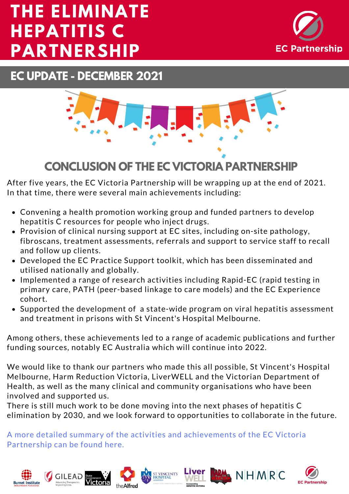# **EC PARTNERSHIP THE ELIMINATE HEPATITIS C PARTNERSHIP**



**EC UPDATE - DECEMBER 2021**



# **CONCLUSION OF THE EC VICTORIA PARTNERSHIP**

After five years, the EC Victoria Partnership will be wrapping up at the end of 2021. In that time, there were several main achievements including:

- Convening a health promotion working group and funded partners to develop hepatitis C resources for people who inject drugs.
- Provision of clinical nursing support at EC sites, including on-site pathology, fibroscans, treatment assessments, referrals and support to service staff to recall and follow up clients.
- Developed the EC Practice Support toolkit, which has been disseminated and utilised nationally and globally.
- Implemented a range of research activities including Rapid-EC (rapid testing in primary care, PATH (peer-based linkage to care models) and the EC Experience cohort.
- Supported the development of a state-wide program on viral hepatitis assessment and treatment in prisons with St Vincent's Hospital Melbourne.

Among others, these achievements led to a range of academic publications and further funding sources, notably EC Australia which will continue into 2022.

We would like to thank our partners who made this all possible, St Vincent's Hospital Melbourne, Harm Reduction Victoria, LiverWELL and the Victorian Department of Health, as well as the many clinical and community organisations who have been involved and supported us.

There is still much work to be done moving into the next phases of hepatitis C elimination by 2030, and we look forward to opportunities to collaborate in the future.

A more detailed summary of the activities and [achievements](https://ecpartnership.org.au/system/resource/135/file/EC_VIC_SUMMARY_final__2_.pdf) of the EC Victoria Partnership can be found here.







NHMRC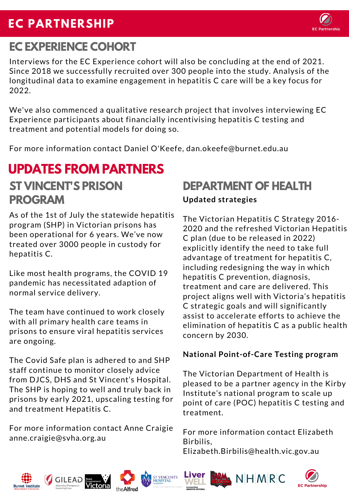# **EC PARTNERSHIP**

# **EC EXPERIENCE COHORT**

Interviews for the EC Experience cohort will also be concluding at the end of 2021. Since 2018 we successfully recruited over 300 people into the study. Analysis of the longitudinal data to examine engagement in hepatitis C care will be a key focus for 2022.

We've also commenced a qualitative research project that involves interviewing EC Experience participants about financially incentivising hepatitis C testing and treatment and potential models for doing so.

For more information contact Daniel O'Keefe, dan.okeefe@burnet.edu.au

## **UPDATES FROM PARTNERS ST VINCENT'S PRISON DEPARTMENT OF HEALTH PROGRAM**

As of the 1st of July the statewide hepatitis program (SHP) in Victorian prisons has been operational for 6 years. We've now treated over 3000 people in custody for hepatitis C.

Like most health programs, the COVID 19 pandemic has necessitated adaption of normal service delivery.

The team have continued to work closely with all primary health care teams in prisons to ensure viral hepatitis services are ongoing.

The Covid Safe plan is adhered to and SHP staff continue to monitor closely advice from DJCS, DHS and St Vincent's Hospital. The SHP is hoping to well and truly back in prisons by early 2021, upscaling testing for and treatment Hepatitis C.

For more information contact Anne Craigie [anne.craigie@svha.org.au](mailto:anne.craigie@svha.org.au)

## **Updated strategies**

The Victorian Hepatitis C Strategy 2016- 2020 and the refreshed Victorian Hepatitis C plan (due to be released in 2022) explicitly identify the need to take full advantage of treatment for hepatitis C, including redesigning the way in which hepatitis C prevention, diagnosis, treatment and care are delivered. This project aligns well with Victoria's hepatitis C strategic goals and will significantly assist to accelerate efforts to achieve the elimination of hepatitis C as a public health concern by 2030.

## **National Point-of-Care Testing program**

The Victorian Department of Health is pleased to be a partner agency in the Kirby Institute's national program to scale up point of care (POC) hepatitis C testing and treatment.

For more information contact Elizabeth Birbilis,

Elizabeth.Birbilis@health.vic.gov.au













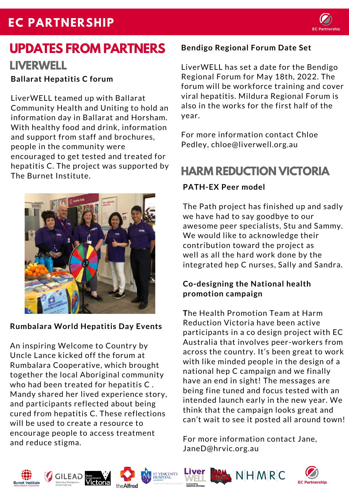# **EC PARTNERSHIP**



# **UPDATES FROM PARTNERS LIVERWELL**

**Ballarat Hepatitis C forum**

LiverWELL teamed up with Ballarat Community Health and Uniting to hold an information day in Ballarat and Horsham. With healthy food and drink, information and support from staff and brochures, people in the community were encouraged to get tested and treated for hepatitis C. The project was supported by The Burnet Institute.



## **Rumbalara World Hepatitis Day Events**

An inspiring Welcome to Country by Uncle Lance kicked off the forum at Rumbalara Cooperative, which brought together the local Aboriginal community who had been treated for hepatitis C . Mandy shared her lived experience story, and participants reflected about being cured from hepatitis C. These reflections will be used to create a resource to encourage people to access treatment and reduce stigma.

## **Bendigo Regional Forum Date Set**

[LiverWELL](http://www.liverwell.org.au/) has set a date for the Bendigo Regional Forum for May 18th, 2022. The forum will be workforce training and cover viral hepatitis. Mildura Regional Forum is also in the works for the first half of the year.

For more information contact Chloe Pedley, chloe@liverwell.org.au

## **HARM REDUCTION VICTORIA**

## **PATH-EX Peer model**

The Path project has finished up and sadly we have had to say goodbye to our awesome peer specialists, Stu and Sammy. We would like to acknowledge their contribution toward the project as well as all the hard work done by the integrated hep C nurses, Sally and Sandra.

## **Co-designing the National health promotion campaign**

**T**he Health Promotion Team at Harm Reduction Victoria have been active participants in a co design project with EC Australia that involves peer-workers from across the country. It's been great to work with like minded people in the design of a national hep C campaign and we finally have an end in sight! The messages are being fine tuned and focus tested with an intended launch early in the new year. We think that the campaign looks great and can't wait to see it posted all around town!

For more information contact Jane, JaneD@hrvic.org.au